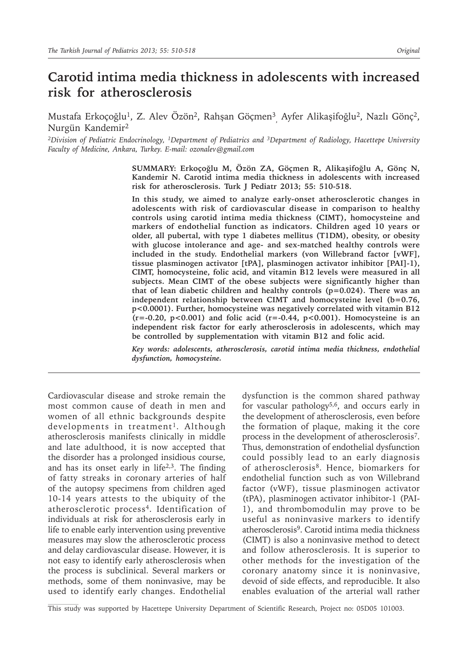# **Carotid intima media thickness in adolescents with increased risk for atherosclerosis**

Mustafa Erkoçoğlu<sup>1</sup>, Z. Alev Özön<sup>2</sup>, Rahşan Göçmen<sup>3</sup><sub>,</sub> Ayfer Alikaşifoğlu<sup>2</sup>, Nazlı Gönç<sup>2</sup>, Nurgün Kandemir2

*2Division of Pediatric Endocrinology, 1Department of Pediatrics and 3Department of Radiology, Hacettepe University Faculty of Medicine, Ankara, Turkey. E-mail: ozonalev@gmail.com*

> **SUMMARY: Erkoçoğlu M, Özön ZA, Göçmen R, Alikaşifoğlu A, Gönç N, Kandemir N. Carotid intima media thickness in adolescents with increased risk for atherosclerosis. Turk J Pediatr 2013; 55: 510-518.**

> **In this study, we aimed to analyze early-onset atherosclerotic changes in adolescents with risk of cardiovascular disease in comparison to healthy controls using carotid intima media thickness (CIMT), homocysteine and markers of endothelial function as indicators. Children aged 10 years or older, all pubertal, with type 1 diabetes mellitus (T1DM), obesity, or obesity with glucose intolerance and age- and sex-matched healthy controls were included in the study. Endothelial markers (von Willebrand factor [vWF], tissue plasminogen activator [tPA], plasminogen activator inhibitor [PAI]-1), CIMT, homocysteine, folic acid, and vitamin B12 levels were measured in all subjects. Mean CIMT of the obese subjects were significantly higher than that of lean diabetic children and healthy controls (p=0.024). There was an independent relationship between CIMT and homocysteine level (b=0.76, p<0.0001). Further, homocysteine was negatively correlated with vitamin B12 (r=-0.20, p<0.001) and folic acid (r=-0.44, p<0.001). Homocysteine is an independent risk factor for early atherosclerosis in adolescents, which may be controlled by supplementation with vitamin B12 and folic acid.**

> *Key words: adolescents, atherosclerosis, carotid intima media thickness, endothelial dysfunction, homocysteine.*

Cardiovascular disease and stroke remain the most common cause of death in men and women of all ethnic backgrounds despite developments in treatment<sup>1</sup>. Although atherosclerosis manifests clinically in middle and late adulthood, it is now accepted that the disorder has a prolonged insidious course, and has its onset early in life<sup>2,3</sup>. The finding of fatty streaks in coronary arteries of half of the autopsy specimens from children aged 10-14 years attests to the ubiquity of the atherosclerotic process<sup>4</sup>. Identification of individuals at risk for atherosclerosis early in life to enable early intervention using preventive measures may slow the atherosclerotic process and delay cardiovascular disease. However, it is not easy to identify early atherosclerosis when the process is subclinical. Several markers or methods, some of them noninvasive, may be used to identify early changes. Endothelial

dysfunction is the common shared pathway for vascular pathology<sup>5,6</sup>, and occurs early in the development of atherosclerosis, even before the formation of plaque, making it the core process in the development of atherosclerosis7. Thus, demonstration of endothelial dysfunction could possibly lead to an early diagnosis of atherosclerosis8. Hence, biomarkers for endothelial function such as von Willebrand factor (vWF), tissue plasminogen activator (tPA), plasminogen activator inhibitor-1 (PAI-1), and thrombomodulin may prove to be useful as noninvasive markers to identify atherosclerosis<sup>9</sup>. Carotid intima media thickness (CIMT) is also a noninvasive method to detect and follow atherosclerosis. It is superior to other methods for the investigation of the coronary anatomy since it is noninvasive, devoid of side effects, and reproducible. It also enables evaluation of the arterial wall rather

This study was supported by Hacettepe University Department of Scientific Research, Project no: 05D05 101003.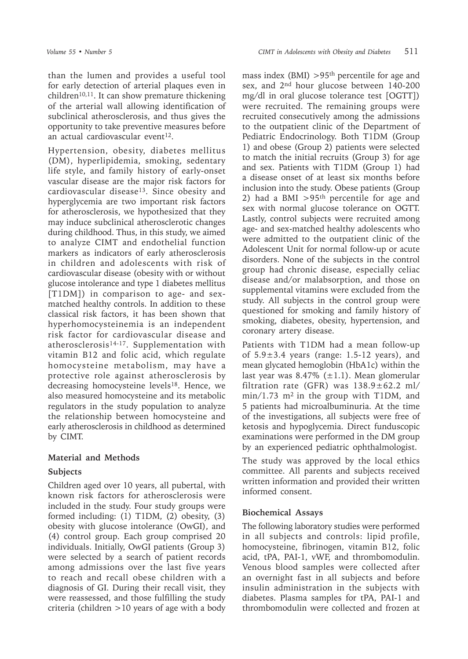than the lumen and provides a useful tool for early detection of arterial plaques even in children<sup>10,11</sup>. It can show premature thickening of the arterial wall allowing identification of subclinical atherosclerosis, and thus gives the opportunity to take preventive measures before an actual cardiovascular event $12$ .

Hypertension, obesity, diabetes mellitus (DM), hyperlipidemia, smoking, sedentary life style, and family history of early-onset vascular disease are the major risk factors for cardiovascular disease13. Since obesity and hyperglycemia are two important risk factors for atherosclerosis, we hypothesized that they may induce subclinical atherosclerotic changes during childhood. Thus, in this study, we aimed to analyze CIMT and endothelial function markers as indicators of early atherosclerosis in children and adolescents with risk of cardiovascular disease (obesity with or without glucose intolerance and type 1 diabetes mellitus [T1DM]) in comparison to age- and sexmatched healthy controls. In addition to these classical risk factors, it has been shown that hyperhomocysteinemia is an independent risk factor for cardiovascular disease and atherosclerosis<sup>14-17</sup>. Supplementation with vitamin B12 and folic acid, which regulate homocysteine metabolism, may have a protective role against atherosclerosis by decreasing homocysteine levels<sup>18</sup>. Hence, we also measured homocysteine and its metabolic regulators in the study population to analyze the relationship between homocysteine and early atherosclerosis in childhood as determined by CIMT.

### **Material and Methods**

### **Subjects**

Children aged over 10 years, all pubertal, with known risk factors for atherosclerosis were included in the study. Four study groups were formed including: (1) T1DM, (2) obesity, (3) obesity with glucose intolerance (OwGI), and (4) control group. Each group comprised 20 individuals. Initially, OwGI patients (Group 3) were selected by a search of patient records among admissions over the last five years to reach and recall obese children with a diagnosis of GI. During their recall visit, they were reassessed, and those fulfilling the study criteria (children >10 years of age with a body

mass index (BMI)  $>95<sup>th</sup>$  percentile for age and sex, and 2nd hour glucose between 140-200 mg/dl in oral glucose tolerance test [OGTT]) were recruited. The remaining groups were recruited consecutively among the admissions to the outpatient clinic of the Department of Pediatric Endocrinology. Both T1DM (Group 1) and obese (Group 2) patients were selected to match the initial recruits (Group 3) for age and sex. Patients with T1DM (Group 1) had a disease onset of at least six months before inclusion into the study. Obese patients (Group 2) had a BMI  $>95$ <sup>th</sup> percentile for age and sex with normal glucose tolerance on OGTT. Lastly, control subjects were recruited among age- and sex-matched healthy adolescents who were admitted to the outpatient clinic of the Adolescent Unit for normal follow-up or acute disorders. None of the subjects in the control group had chronic disease, especially celiac disease and/or malabsorption, and those on supplemental vitamins were excluded from the study. All subjects in the control group were questioned for smoking and family history of smoking, diabetes, obesity, hypertension, and coronary artery disease.

Patients with T1DM had a mean follow-up of  $5.9 \pm 3.4$  years (range: 1.5-12 years), and mean glycated hemoglobin (HbA1c) within the last year was  $8.47\%$  ( $\pm 1.1$ ). Mean glomerular filtration rate (GFR) was  $138.9 \pm 62.2$  ml/ min/1.73 m2 in the group with T1DM, and 5 patients had microalbuminuria. At the time of the investigations, all subjects were free of ketosis and hypoglycemia. Direct funduscopic examinations were performed in the DM group by an experienced pediatric ophthalmologist.

The study was approved by the local ethics committee. All parents and subjects received written information and provided their written informed consent.

## **Biochemical Assays**

The following laboratory studies were performed in all subjects and controls: lipid profile, homocysteine, fibrinogen, vitamin B12, folic acid, tPA, PAI-1, vWF, and thrombomodulin. Venous blood samples were collected after an overnight fast in all subjects and before insulin administration in the subjects with diabetes. Plasma samples for tPA, PAI-1 and thrombomodulin were collected and frozen at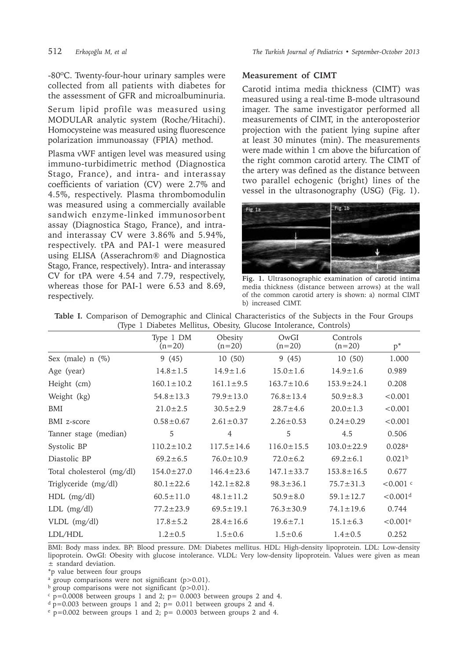-80ºC. Twenty-four-hour urinary samples were collected from all patients with diabetes for the assessment of GFR and microalbuminuria.

Serum lipid profile was measured using MODULAR analytic system (Roche/Hitachi). Homocysteine was measured using fluorescence polarization immunoassay (FPIA) method.

Plasma vWF antigen level was measured using immuno-turbidimetric method (Diagnostica Stago, France), and intra- and interassay coefficients of variation (CV) were 2.7% and 4.5%, respectively. Plasma thrombomodulin was measured using a commercially available sandwich enzyme-linked immunosorbent assay (Diagnostica Stago, France), and intraand interassay CV were 3.86% and 5.94%, respectively. tPA and PAI-1 were measured using ELISA (Asserachrom® and Diagnostica Stago, France, respectively). Intra- and interassay CV for tPA were 4.54 and 7.79, respectively, whereas those for PAI-1 were 6.53 and 8.69, respectively.

#### **Measurement of CIMT**

Carotid intima media thickness (CIMT) was measured using a real-time B-mode ultrasound imager. The same investigator performed all measurements of CIMT, in the anteroposterior projection with the patient lying supine after at least 30 minutes (min). The measurements were made within 1 cm above the bifurcation of the right common carotid artery. The CIMT of the artery was defined as the distance between two parallel echogenic (bright) lines of the vessel in the ultrasonography (USG) (Fig. 1).



**Fig. 1.** Ultrasonographic examination of carotid intima media thickness (distance between arrows) at the wall of the common carotid artery is shown: a) normal CIMT b) increased CIMT.

| (Type T Diabetes Intention, Obesity, Gracose Intolerance, Controls) |                       |                     |                  |                      |                         |  |
|---------------------------------------------------------------------|-----------------------|---------------------|------------------|----------------------|-------------------------|--|
|                                                                     | Type 1 DM<br>$(n=20)$ | Obesity<br>$(n=20)$ | OwGI<br>$(n=20)$ | Controls<br>$(n=20)$ | $p^*$                   |  |
| Sex (male) $n$ (%)                                                  | 9(45)                 | 10(50)              | 9(45)            | 10(50)               | 1.000                   |  |
| Age (year)                                                          | $14.8 \pm 1.5$        | $14.9 \pm 1.6$      | $15.0 \pm 1.6$   | $14.9 \pm 1.6$       | 0.989                   |  |
| Height (cm)                                                         | $160.1 \pm 10.2$      | $161.1 \pm 9.5$     | $163.7 \pm 10.6$ | $153.9 \pm 24.1$     | 0.208                   |  |
| Weight (kg)                                                         | $54.8 \pm 13.3$       | $79.9 \pm 13.0$     | $76.8 \pm 13.4$  | $50.9 \pm 8.3$       | < 0.001                 |  |
| BMI                                                                 | $21.0 \pm 2.5$        | $30.5 \pm 2.9$      | $28.7 \pm 4.6$   | $20.0 \pm 1.3$       | < 0.001                 |  |
| BMI z-score                                                         | $0.58 \pm 0.67$       | $2.61 \pm 0.37$     | $2.26 \pm 0.53$  | $0.24 \pm 0.29$      | < 0.001                 |  |
| Tanner stage (median)                                               | 5                     | $\overline{4}$      | 5                | 4.5                  | 0.506                   |  |
| Systolic BP                                                         | $110.2 \pm 10.2$      | $117.5 \pm 14.6$    | $116.0 \pm 15.5$ | $103.0 \pm 22.9$     | 0.028a                  |  |
| Diastolic BP                                                        | $69.2 \pm 6.5$        | $76.0 \pm 10.9$     | $72.0 \pm 6.2$   | $69.2 \pm 6.1$       | 0.021 <sup>b</sup>      |  |
| Total cholesterol (mg/dl)                                           | $154.0 \pm 27.0$      | $146.4 \pm 23.6$    | $147.1 \pm 33.7$ | $153.8 \pm 16.5$     | 0.677                   |  |
| Triglyceride (mg/dl)                                                | $80.1 \pm 22.6$       | $142.1 \pm 82.8$    | $98.3 \pm 36.1$  | $75.7 \pm 31.3$      | $< 0.001$ c             |  |
| $HDL$ (mg/dl)                                                       | $60.5 \pm 11.0$       | $48.1 \pm 11.2$     | $50.9 \pm 8.0$   | $59.1 \pm 12.7$      | $< 0.001$ <sup>d</sup>  |  |
| $LDL$ (mg/dl)                                                       | $77.2 \pm 23.9$       | $69.5 \pm 19.1$     | $76.3 \pm 30.9$  | $74.1 \pm 19.6$      | 0.744                   |  |
| $VLDL$ (mg/dl)                                                      | $17.8 \pm 5.2$        | $28.4 \pm 16.6$     | $19.6 \pm 7.1$   | $15.1 \pm 6.3$       | ${<}0.001$ <sup>e</sup> |  |
| LDL/HDL                                                             | $1.2 \pm 0.5$         | $1.5 \pm 0.6$       | $1.5 \pm 0.6$    | $1.4 \pm 0.5$        | 0.252                   |  |

**Table I.** Comparison of Demographic and Clinical Characteristics of the Subjects in the Four Groups (Type 1 Diabetes Mellitus, Obesity, Glucose Intolerance, Controls)

BMI: Body mass index. BP: Blood pressure. DM: Diabetes mellitus. HDL: High-density lipoprotein. LDL: Low-density lipoprotein. OwGI: Obesity with glucose intolerance. VLDL: Very low-density lipoprotein. Values were given as mean ± standard deviation.

\*p value between four groups

 $a$  group comparisons were not significant (p>0.01).

b group comparisons were not significant (p>0.01).

 $\epsilon$  p=0.0008 between groups 1 and 2; p= 0.0003 between groups 2 and 4.

 $d$  p=0.003 between groups 1 and 2; p= 0.011 between groups 2 and 4.

 $e$  p=0.002 between groups 1 and 2; p= 0.0003 between groups 2 and 4.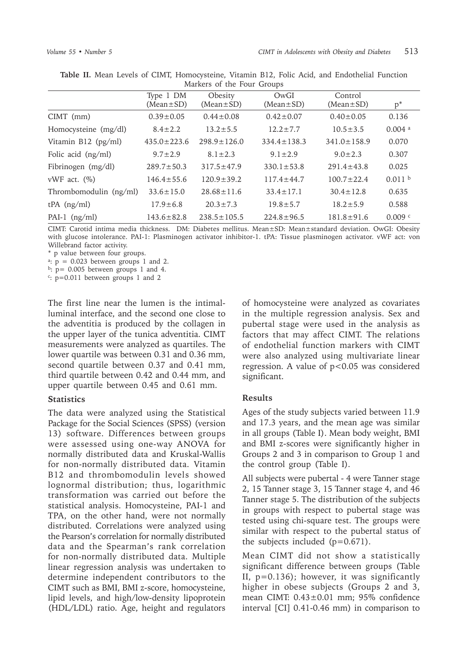|                        | Type 1 DM         | Obesity           | OwGI              | Control           |                      |
|------------------------|-------------------|-------------------|-------------------|-------------------|----------------------|
|                        | $(Mean \pm SD)$   | $(Mean \pm SD)$   | $(Mean \pm SD)$   | $(Mean \pm SD)$   | $p^*$                |
| $CIMT$ (mm)            | $0.39 \pm 0.05$   | $0.44 \pm 0.08$   | $0.42 \pm 0.07$   | $0.40 \pm 0.05$   | 0.136                |
| Homocysteine (mg/dl)   | $8.4 \pm 2.2$     | $13.2 \pm 5.5$    | $12.2 \pm 7.7$    | $10.5 \pm 3.5$    | $0.004$ <sup>a</sup> |
| Vitamin B12 (pg/ml)    | $435.0 \pm 223.6$ | $298.9 \pm 126.0$ | $334.4 \pm 138.3$ | $341.0 \pm 158.9$ | 0.070                |
| Folic acid (ng/ml)     | $9.7 \pm 2.9$     | $8.1 \pm 2.3$     | $9.1 \pm 2.9$     | $9.0 \pm 2.3$     | 0.307                |
| Fibrinogen (mg/dl)     | $289.7 \pm 50.3$  | $317.5 \pm 47.9$  | $330.1 \pm 53.8$  | $291.4 \pm 43.8$  | 0.025                |
| vWF act. $(\%)$        | $146.4 \pm 55.6$  | $120.9 \pm 39.2$  | $117.4 \pm 44.7$  | $100.7 \pm 22.4$  | 0.011 <sup>b</sup>   |
| Thrombomodulin (ng/ml) | $33.6 \pm 15.0$   | $28.68 \pm 11.6$  | $33.4 \pm 17.1$   | $30.4 \pm 12.8$   | 0.635                |
| $tPA$ (ng/ml)          | $17.9 \pm 6.8$    | $20.3 \pm 7.3$    | $19.8 \pm 5.7$    | $18.2 \pm 5.9$    | 0.588                |
| PAI-1 $(ng/ml)$        | $143.6 \pm 82.8$  | $238.5 \pm 105.5$ | $224.8 \pm 96.5$  | $181.8 \pm 91.6$  | 0.009c               |

**Table II.** Mean Levels of CIMT, Homocysteine, Vitamin B12, Folic Acid, and Endothelial Function Markers of the Four Groups

CIMT: Carotid intima media thickness. DM: Diabetes mellitus. Mean±SD: Mean±standard deviation. OwGI: Obesity with glucose intolerance. PAI-1: Plasminogen activator inhibitor-1. tPA: Tissue plasminogen activator. vWF act: von Willebrand factor activity.

\* p value between four groups.

<sup>a</sup>:  $p = 0.023$  between groups 1 and 2.

 $b: p= 0.005$  between groups 1 and 4.

<sup>c</sup>: p=0.011 between groups 1 and 2

The first line near the lumen is the intimalluminal interface, and the second one close to the adventitia is produced by the collagen in the upper layer of the tunica adventitia. CIMT measurements were analyzed as quartiles. The lower quartile was between 0.31 and 0.36 mm, second quartile between 0.37 and 0.41 mm, third quartile between 0.42 and 0.44 mm, and upper quartile between 0.45 and 0.61 mm.

#### **Statistics**

The data were analyzed using the Statistical Package for the Social Sciences (SPSS) (version 13) software. Differences between groups were assessed using one-way ANOVA for normally distributed data and Kruskal-Wallis for non-normally distributed data. Vitamin B12 and thrombomodulin levels showed lognormal distribution; thus, logarithmic transformation was carried out before the statistical analysis. Homocysteine, PAI-1 and TPA, on the other hand, were not normally distributed. Correlations were analyzed using the Pearson's correlation for normally distributed data and the Spearman's rank correlation for non-normally distributed data. Multiple linear regression analysis was undertaken to determine independent contributors to the CIMT such as BMI, BMI z-score, homocysteine, lipid levels, and high/low-density lipoprotein (HDL/LDL) ratio. Age, height and regulators of homocysteine were analyzed as covariates in the multiple regression analysis. Sex and pubertal stage were used in the analysis as factors that may affect CIMT. The relations of endothelial function markers with CIMT were also analyzed using multivariate linear regression. A value of p<0.05 was considered significant.

#### **Results**

Ages of the study subjects varied between 11.9 and 17.3 years, and the mean age was similar in all groups (Table I). Mean body weight, BMI and BMI z-scores were significantly higher in Groups 2 and 3 in comparison to Group 1 and the control group (Table I).

All subjects were pubertal - 4 were Tanner stage 2, 15 Tanner stage 3, 15 Tanner stage 4, and 46 Tanner stage 5. The distribution of the subjects in groups with respect to pubertal stage was tested using chi-square test. The groups were similar with respect to the pubertal status of the subjects included  $(p=0.671)$ .

Mean CIMT did not show a statistically significant difference between groups (Table II, p=0.136); however, it was significantly higher in obese subjects (Groups 2 and 3, mean CIMT: 0.43±0.01 mm; 95% confidence interval [CI] 0.41-0.46 mm) in comparison to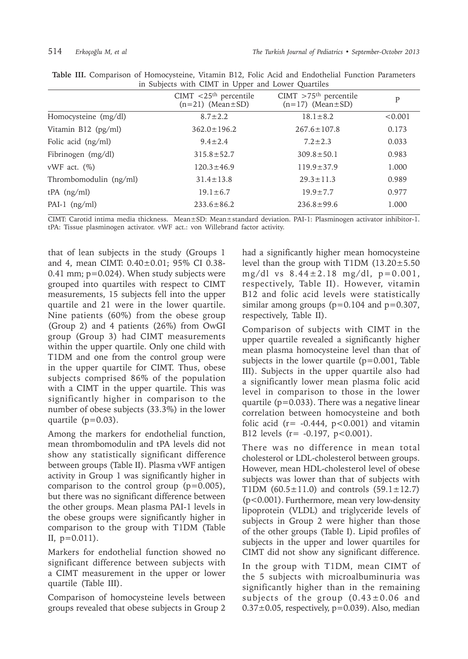|                        | CIMT $<$ 25 <sup>th</sup> percentile<br>$(n=21)$ (Mean $\pm$ SD) | $CIMT > 75th$ percentile<br>$(n=17)$ (Mean $\pm$ SD) | P       |  |  |
|------------------------|------------------------------------------------------------------|------------------------------------------------------|---------|--|--|
| Homocysteine (mg/dl)   | $8.7 \pm 2.2$                                                    | $18.1 \pm 8.2$                                       | < 0.001 |  |  |
| Vitamin B12 (pg/ml)    | $362.0 \pm 196.2$                                                | $267.6 \pm 107.8$                                    | 0.173   |  |  |
| Folic acid (ng/ml)     | $9.4 \pm 2.4$                                                    | $7.2 \pm 2.3$                                        | 0.033   |  |  |
| Fibrinogen (mg/dl)     | $315.8 \pm 52.7$                                                 | $309.8 \pm 50.1$                                     | 0.983   |  |  |
| vWF act. $(\%)$        | $120.3 \pm 46.9$                                                 | $119.9 \pm 37.9$                                     | 1.000   |  |  |
| Thrombomodulin (ng/ml) | $31.4 \pm 13.8$                                                  | $29.3 \pm 11.3$                                      | 0.989   |  |  |
| $tPA$ (ng/ml)          | $19.1 \pm 6.7$                                                   | $19.9 \pm 7.7$                                       | 0.977   |  |  |
| PAI-1 $(ng/ml)$        | $233.6 \pm 86.2$                                                 | $236.8 \pm 99.6$                                     | 1.000   |  |  |
|                        |                                                                  |                                                      |         |  |  |

**Table III.** Comparison of Homocysteine, Vitamin B12, Folic Acid and Endothelial Function Parameters in Subjects with CIMT in Upper and Lower Quartiles

CIMT: Carotid intima media thickness. Mean±SD: Mean±standard deviation. PAI-1: Plasminogen activator inhibitor-1. tPA: Tissue plasminogen activator. vWF act.: von Willebrand factor activity.

that of lean subjects in the study (Groups 1 and 4, mean CIMT: 0.40±0.01; 95% CI 0.38- 0.41 mm; p=0.024). When study subjects were grouped into quartiles with respect to CIMT measurements, 15 subjects fell into the upper quartile and 21 were in the lower quartile. Nine patients (60%) from the obese group (Group 2) and 4 patients (26%) from OwGI group (Group 3) had CIMT measurements within the upper quartile. Only one child with T1DM and one from the control group were in the upper quartile for CIMT. Thus, obese subjects comprised 86% of the population with a CIMT in the upper quartile. This was significantly higher in comparison to the number of obese subjects (33.3%) in the lower quartile (p=0.03).

Among the markers for endothelial function, mean thrombomodulin and tPA levels did not show any statistically significant difference between groups (Table II). Plasma vWF antigen activity in Group 1 was significantly higher in comparison to the control group  $(p=0.005)$ , but there was no significant difference between the other groups. Mean plasma PAI-1 levels in the obese groups were significantly higher in comparison to the group with T1DM (Table II,  $p=0.011$ ).

Markers for endothelial function showed no significant difference between subjects with a CIMT measurement in the upper or lower quartile (Table III).

Comparison of homocysteine levels between groups revealed that obese subjects in Group 2

had a significantly higher mean homocysteine level than the group with T1DM (13.20±5.50 mg/dl vs  $8.44 \pm 2.18$  mg/dl,  $p=0.001$ , respectively, Table II). However, vitamin B12 and folic acid levels were statistically similar among groups  $(p=0.104$  and  $p=0.307$ , respectively, Table II).

Comparison of subjects with CIMT in the upper quartile revealed a significantly higher mean plasma homocysteine level than that of subjects in the lower quartile (p=0.001, Table III). Subjects in the upper quartile also had a significantly lower mean plasma folic acid level in comparison to those in the lower quartile ( $p=0.033$ ). There was a negative linear correlation between homocysteine and both folic acid ( $r = -0.444$ ,  $p < 0.001$ ) and vitamin B12 levels  $(r = -0.197, p < 0.001)$ .

There was no difference in mean total cholesterol or LDL-cholesterol between groups. However, mean HDL-cholesterol level of obese subjects was lower than that of subjects with T1DM  $(60.5 \pm 11.0)$  and controls  $(59.1 \pm 12.7)$ (p<0.001). Furthermore, mean very low-density lipoprotein (VLDL) and triglyceride levels of subjects in Group 2 were higher than those of the other groups (Table I). Lipid profiles of subjects in the upper and lower quartiles for CIMT did not show any significant difference.

In the group with T1DM, mean CIMT of the 5 subjects with microalbuminuria was significantly higher than in the remaining subjects of the group  $(0.43 \pm 0.06$  and  $0.37\pm0.05$ , respectively, p=0.039). Also, median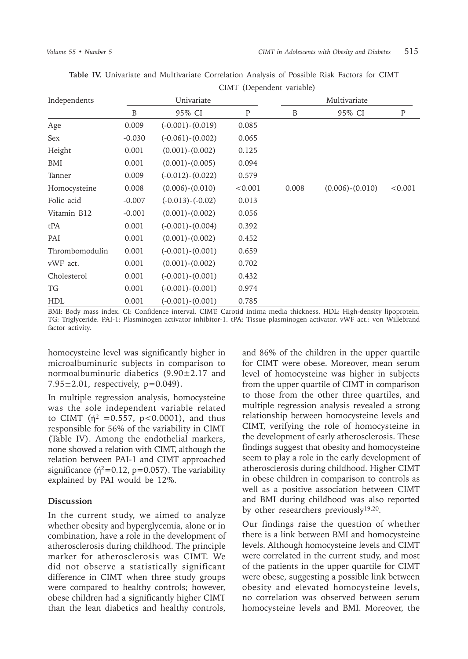|                | CIMT (Dependent variable) |                        |              |       |                     |              |  |
|----------------|---------------------------|------------------------|--------------|-------|---------------------|--------------|--|
| Independents   |                           | Univariate             |              |       | Multivariate        |              |  |
|                | B                         | 95% CI                 | $\mathbf{P}$ | B     | 95% CI              | $\mathbf{P}$ |  |
| Age            | 0.009                     | $(-0.001)-(0.019)$     | 0.085        |       |                     |              |  |
| Sex            | $-0.030$                  | $(-0.061)-(0.002)$     | 0.065        |       |                     |              |  |
| Height         | 0.001                     | $(0.001) - (0.002)$    | 0.125        |       |                     |              |  |
| BMI            | 0.001                     | $(0.001) - (0.005)$    | 0.094        |       |                     |              |  |
| Tanner         | 0.009                     | $(-0.012)-(0.022)$     | 0.579        |       |                     |              |  |
| Homocysteine   | 0.008                     | $(0.006) - (0.010)$    | < 0.001      | 0.008 | $(0.006) - (0.010)$ | < 0.001      |  |
| Folic acid     | $-0.007$                  | $(-0.013)$ - $(-0.02)$ | 0.013        |       |                     |              |  |
| Vitamin B12    | $-0.001$                  | $(0.001) - (0.002)$    | 0.056        |       |                     |              |  |
| tPA            | 0.001                     | $(-0.001) - (0.004)$   | 0.392        |       |                     |              |  |
| PAI            | 0.001                     | $(0.001) - (0.002)$    | 0.452        |       |                     |              |  |
| Thrombomodulin | 0.001                     | $(-0.001)-(0.001)$     | 0.659        |       |                     |              |  |
| vWF act.       | 0.001                     | $(0.001) - (0.002)$    | 0.702        |       |                     |              |  |
| Cholesterol    | 0.001                     | $(-0.001)-(0.001)$     | 0.432        |       |                     |              |  |
| TG             | 0.001                     | $(-0.001)-(0.001)$     | 0.974        |       |                     |              |  |
| <b>HDL</b>     | 0.001                     | $(-0.001)$ $-(0.001)$  | 0.785        |       |                     |              |  |

**Table IV.** Univariate and Multivariate Correlation Analysis of Possible Risk Factors for CIMT

BMI: Body mass index. CI: Confidence interval. CIMT: Carotid intima media thickness. HDL: High-density lipoprotein. TG: Triglyceride. PAI-1: Plasminogen activator inhibitor-1. tPA: Tissue plasminogen activator. vWF act.: von Willebrand factor activity.

homocysteine level was significantly higher in microalbuminuric subjects in comparison to normoalbuminuric diabetics (9.90±2.17 and  $7.95 \pm 2.01$ , respectively, p=0.049).

In multiple regression analysis, homocysteine was the sole independent variable related to CIMT ( $\dot{\eta}^2$  =0.557, p<0.0001), and thus responsible for 56% of the variability in CIMT (Table IV). Among the endothelial markers, none showed a relation with CIMT, although the relation between PAI-1 and CIMT approached significance ( $\acute{\eta}^2$ =0.12, p=0.057). The variability explained by PAI would be 12%.

#### **Discussion**

In the current study, we aimed to analyze whether obesity and hyperglycemia, alone or in combination, have a role in the development of atherosclerosis during childhood. The principle marker for atherosclerosis was CIMT. We did not observe a statistically significant difference in CIMT when three study groups were compared to healthy controls; however, obese children had a significantly higher CIMT than the lean diabetics and healthy controls,

and 86% of the children in the upper quartile for CIMT were obese. Moreover, mean serum level of homocysteine was higher in subjects from the upper quartile of CIMT in comparison to those from the other three quartiles, and multiple regression analysis revealed a strong relationship between homocysteine levels and CIMT, verifying the role of homocysteine in the development of early atherosclerosis. These findings suggest that obesity and homocysteine seem to play a role in the early development of atherosclerosis during childhood. Higher CIMT in obese children in comparison to controls as well as a positive association between CIMT and BMI during childhood was also reported by other researchers previously19,20.

Our findings raise the question of whether there is a link between BMI and homocysteine levels. Although homocysteine levels and CIMT were correlated in the current study, and most of the patients in the upper quartile for CIMT were obese, suggesting a possible link between obesity and elevated homocysteine levels, no correlation was observed between serum homocysteine levels and BMI. Moreover, the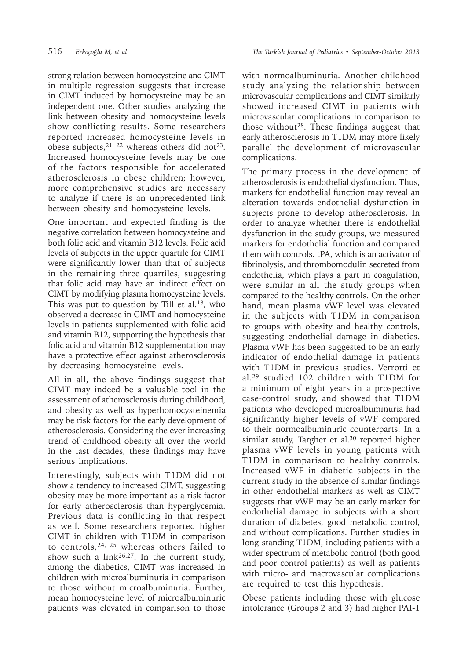strong relation between homocysteine and CIMT in multiple regression suggests that increase in CIMT induced by homocysteine may be an independent one. Other studies analyzing the link between obesity and homocysteine levels show conflicting results. Some researchers reported increased homocysteine levels in obese subjects,  $21$ ,  $22$  whereas others did not $23$ . Increased homocysteine levels may be one of the factors responsible for accelerated atherosclerosis in obese children; however, more comprehensive studies are necessary to analyze if there is an unprecedented link between obesity and homocysteine levels.

One important and expected finding is the negative correlation between homocysteine and both folic acid and vitamin B12 levels. Folic acid levels of subjects in the upper quartile for CIMT were significantly lower than that of subjects in the remaining three quartiles, suggesting that folic acid may have an indirect effect on CIMT by modifying plasma homocysteine levels. This was put to question by Till et al.<sup>18</sup>, who observed a decrease in CIMT and homocysteine levels in patients supplemented with folic acid and vitamin B12, supporting the hypothesis that folic acid and vitamin B12 supplementation may have a protective effect against atherosclerosis by decreasing homocysteine levels.

All in all, the above findings suggest that CIMT may indeed be a valuable tool in the assessment of atherosclerosis during childhood, and obesity as well as hyperhomocysteinemia may be risk factors for the early development of atherosclerosis. Considering the ever increasing trend of childhood obesity all over the world in the last decades, these findings may have serious implications.

Interestingly, subjects with T1DM did not show a tendency to increased CIMT, suggesting obesity may be more important as a risk factor for early atherosclerosis than hyperglycemia. Previous data is conflicting in that respect as well. Some researchers reported higher CIMT in children with T1DM in comparison to controls,24, 25 whereas others failed to show such a link<sup>26,27</sup>. In the current study, among the diabetics, CIMT was increased in children with microalbuminuria in comparison to those without microalbuminuria. Further, mean homocysteine level of microalbuminuric patients was elevated in comparison to those

with normoalbuminuria. Another childhood study analyzing the relationship between microvascular complications and CIMT similarly showed increased CIMT in patients with microvascular complications in comparison to those without<sup>28</sup>. These findings suggest that early atherosclerosis in T1DM may more likely parallel the development of microvascular complications.

The primary process in the development of atherosclerosis is endothelial dysfunction. Thus, markers for endothelial function may reveal an alteration towards endothelial dysfunction in subjects prone to develop atherosclerosis. In order to analyze whether there is endothelial dysfunction in the study groups, we measured markers for endothelial function and compared them with controls. tPA, which is an activator of fibrinolysis, and thrombomodulin secreted from endothelia, which plays a part in coagulation, were similar in all the study groups when compared to the healthy controls. On the other hand, mean plasma vWF level was elevated in the subjects with T1DM in comparison to groups with obesity and healthy controls, suggesting endothelial damage in diabetics. Plasma vWF has been suggested to be an early indicator of endothelial damage in patients with T1DM in previous studies. Verrotti et al.29 studied 102 children with T1DM for a minimum of eight years in a prospective case-control study, and showed that T1DM patients who developed microalbuminuria had significantly higher levels of vWF compared to their normoalbuminuric counterparts. In a similar study, Targher et al.<sup>30</sup> reported higher plasma vWF levels in young patients with T1DM in comparison to healthy controls. Increased vWF in diabetic subjects in the current study in the absence of similar findings in other endothelial markers as well as CIMT suggests that vWF may be an early marker for endothelial damage in subjects with a short duration of diabetes, good metabolic control, and without complications. Further studies in long-standing T1DM, including patients with a wider spectrum of metabolic control (both good and poor control patients) as well as patients with micro- and macrovascular complications are required to test this hypothesis.

Obese patients including those with glucose intolerance (Groups 2 and 3) had higher PAI-1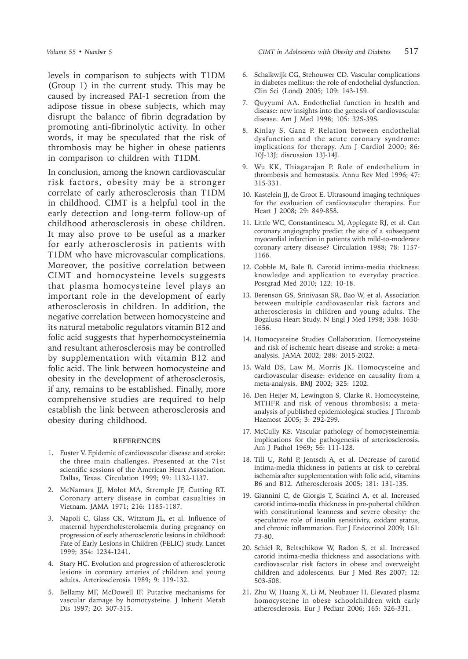levels in comparison to subjects with T1DM (Group 1) in the current study. This may be caused by increased PAI-1 secretion from the adipose tissue in obese subjects, which may disrupt the balance of fibrin degradation by promoting anti-fibrinolytic activity. In other words, it may be speculated that the risk of thrombosis may be higher in obese patients in comparison to children with T1DM.

In conclusion, among the known cardiovascular risk factors, obesity may be a stronger correlate of early atherosclerosis than T1DM in childhood. CIMT is a helpful tool in the early detection and long-term follow-up of childhood atherosclerosis in obese children. It may also prove to be useful as a marker for early atherosclerosis in patients with T1DM who have microvascular complications. Moreover, the positive correlation between CIMT and homocysteine levels suggests that plasma homocysteine level plays an important role in the development of early atherosclerosis in children. In addition, the negative correlation between homocysteine and its natural metabolic regulators vitamin B12 and folic acid suggests that hyperhomocysteinemia and resultant atherosclerosis may be controlled by supplementation with vitamin B12 and folic acid. The link between homocysteine and obesity in the development of atherosclerosis, if any, remains to be established. Finally, more comprehensive studies are required to help establish the link between atherosclerosis and obesity during childhood.

#### **REFERENCES**

- 1. Fuster V. Epidemic of cardiovascular disease and stroke: the three main challenges. Presented at the 71st scientific sessions of the American Heart Association. Dallas, Texas. Circulation 1999; 99: 1132-1137.
- 2. McNamara JJ, Molot MA, Stremple JF, Cutting RT. Coronary artery disease in combat casualties in Vietnam. JAMA 1971; 216: 1185-1187.
- 3. Napoli C, Glass CK, Witztum JL, et al. Influence of maternal hypercholesterolaemia during pregnancy on progression of early atherosclerotic lesions in childhood: Fate of Early Lesions in Children (FELIC) study. Lancet 1999; 354: 1234-1241.
- 4. Stary HC. Evolution and progression of atherosclerotic lesions in coronary arteries of children and young adults. Arteriosclerosis 1989; 9: 119-132.
- 5. Bellamy MF, McDowell IF. Putative mechanisms for vascular damage by homocysteine. J Inherit Metab Dis 1997; 20: 307-315.
- 6. Schalkwijk CG, Stehouwer CD. Vascular complications in diabetes mellitus: the role of endothelial dysfunction. Clin Sci (Lond) 2005; 109: 143-159.
- 7. Quyyumi AA. Endothelial function in health and disease: new insights into the genesis of cardiovascular disease. Am J Med 1998; 105: 32S-39S.
- 8. Kinlay S, Ganz P. Relation between endothelial dysfunction and the acute coronary syndrome: implications for therapy. Am J Cardiol 2000; 86: 10J-13J; discussion 13J-14J.
- 9. Wu KK, Thiagarajan P. Role of endothelium in thrombosis and hemostasis. Annu Rev Med 1996; 47: 315-331.
- 10. Kastelein JJ, de Groot E. Ultrasound imaging techniques for the evaluation of cardiovascular therapies. Eur Heart J 2008; 29: 849-858.
- 11. Little WC, Constantinescu M, Applegate RJ, et al. Can coronary angiography predict the site of a subsequent myocardial infarction in patients with mild-to-moderate coronary artery disease? Circulation 1988; 78: 1157- 1166.
- 12. Cobble M, Bale B. Carotid intima-media thickness: knowledge and application to everyday practice. Postgrad Med 2010; 122: 10-18.
- 13. Berenson GS, Srinivasan SR, Bao W, et al. Association between multiple cardiovascular risk factors and atherosclerosis in children and young adults. The Bogalusa Heart Study. N Engl J Med 1998; 338: 1650- 1656.
- 14. Homocysteine Studies Collaboration. Homocysteine and risk of ischemic heart disease and stroke: a metaanalysis. JAMA 2002; 288: 2015-2022.
- 15. Wald DS, Law M, Morris JK. Homocysteine and cardiovascular disease: evidence on causality from a meta-analysis. BMJ 2002; 325: 1202.
- 16. Den Heijer M, Lewington S, Clarke R. Homocysteine, MTHFR and risk of venous thrombosis: a metaanalysis of published epidemiological studies. J Thromb Haemost 2005; 3: 292-299.
- 17. McCully KS. Vascular pathology of homocysteinemia: implications for the pathogenesis of arteriosclerosis. Am J Pathol 1969; 56: 111-128.
- 18. Till U, Rohl P, Jentsch A, et al. Decrease of carotid intima-media thickness in patients at risk to cerebral ischemia after supplementation with folic acid, vitamins B6 and B12. Atherosclerosis 2005; 181: 131-135.
- 19. Giannini C, de Giorgis T, Scarinci A, et al. Increased carotid intima-media thickness in pre-pubertal children with constitutional leanness and severe obesity: the speculative role of insulin sensitivity, oxidant status, and chronic inflammation. Eur J Endocrinol 2009; 161: 73-80.
- 20. Schiel R, Beltschikow W, Radon S, et al. Increased carotid intima-media thickness and associations with cardiovascular risk factors in obese and overweight children and adolescents. Eur J Med Res 2007; 12: 503-508.
- 21. Zhu W, Huang X, Li M, Neubauer H. Elevated plasma homocysteine in obese schoolchildren with early atherosclerosis. Eur J Pediatr 2006; 165: 326-331.